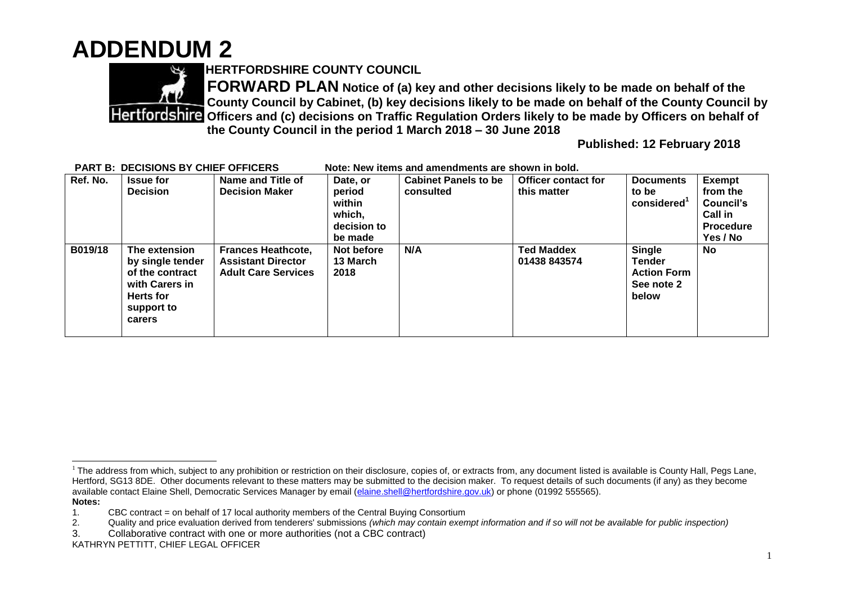## **ADDENDUM 2**



**HERTFORDSHIRE COUNTY COUNCIL**

**FORWARD PLAN Notice of (a) key and other decisions likely to be made on behalf of the County Council by Cabinet, (b) key decisions likely to be made on behalf of the County Council by Officers and (c) decisions on Traffic Regulation Orders likely to be made by Officers on behalf of the County Council in the period 1 March 2018 – 30 June 2018** 

**Published: 12 February 2018**

| Ref. No. | <b>Issue for</b><br><b>Decision</b>                                                                         | Name and Title of<br><b>Decision Maker</b>                                           | Date, or<br>period<br>within<br>which,<br>decision to | <b>Cabinet Panels to be</b><br>consulted | <b>Officer contact for</b><br>this matter | <b>Documents</b><br>to be<br>considered                              | <b>Exempt</b><br>from the<br>Council's<br><b>Call in</b><br><b>Procedure</b> |
|----------|-------------------------------------------------------------------------------------------------------------|--------------------------------------------------------------------------------------|-------------------------------------------------------|------------------------------------------|-------------------------------------------|----------------------------------------------------------------------|------------------------------------------------------------------------------|
| B019/18  | The extension<br>by single tender<br>of the contract<br>with Carers in<br>Herts for<br>support to<br>carers | <b>Frances Heathcote,</b><br><b>Assistant Director</b><br><b>Adult Care Services</b> | be made<br>Not before<br>13 March<br>2018             | N/A                                      | <b>Ted Maddex</b><br>01438 843574         | <b>Single</b><br>Tender<br><b>Action Form</b><br>See note 2<br>below | Yes / No<br><b>No</b>                                                        |

## **PART B: DECISIONS BY CHIEF OFFICERS Note: New items and amendments are shown in bold.**

 $\overline{a}$  $1$  The address from which, subject to any prohibition or restriction on their disclosure, copies of, or extracts from, any document listed is available is County Hall, Pegs Lane, Hertford, SG13 8DE. Other documents relevant to these matters may be submitted to the decision maker. To request details of such documents (if any) as they become available contact Elaine Shell, Democratic Services Manager by email [\(elaine.shell@hertfordshire.gov.uk\)](mailto:elaine.shell@hertfordshire.gov.uk) or phone (01992 555565). **Notes:** 

<sup>1.</sup> CBC contract = on behalf of 17 local authority members of the Central Buying Consortium

<sup>2.</sup> Quality and price evaluation derived from tenderers' submissions *(which may contain exempt information and if so will not be available for public inspection)*

<sup>3.</sup> Collaborative contract with one or more authorities (not a CBC contract)

KATHRYN PETTITT, CHIEF LEGAL OFFICER